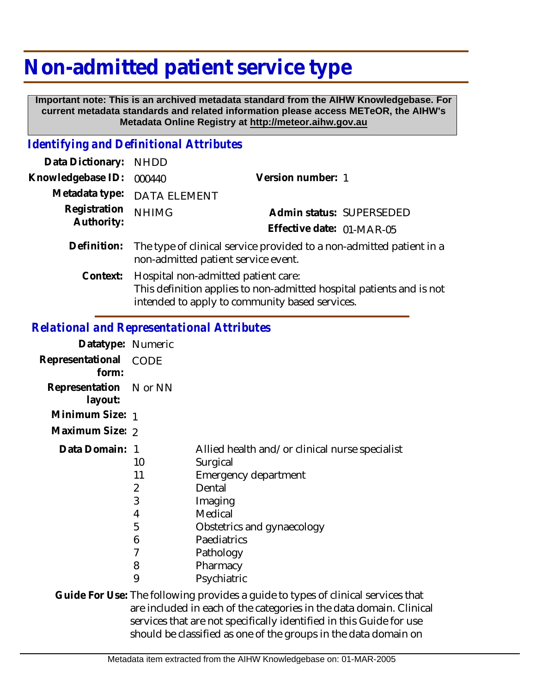## **Non-admitted patient service type**

 **Important note: This is an archived metadata standard from the AIHW Knowledgebase. For current metadata standards and related information please access METeOR, the AIHW's Metadata Online Registry at http://meteor.aihw.gov.au**

## *Identifying and Definitional Attributes*

| Data Dictionary: NHDD      |                                                                                                             |                           |                          |
|----------------------------|-------------------------------------------------------------------------------------------------------------|---------------------------|--------------------------|
| Knowledgebase ID:          | 000440                                                                                                      | Version number: 1         |                          |
|                            | Metadata type: DATA ELEMENT                                                                                 |                           |                          |
| Registration<br>Authority: | <b>NHIMG</b>                                                                                                |                           | Admin status: SUPERSEDED |
|                            |                                                                                                             | Effective date: 01-MAR-05 |                          |
| Definition:                | The type of clinical service provided to a non-admitted patient in a<br>non-admitted patient service event. |                           |                          |
| Context:                   | Hospital non-admitted patient care:<br>This definition applies to non-admitted hospital patients and is not |                           |                          |

intended to apply to community based services.

## *Relational and Representational Attributes*

| Datatype: Numeric                 |                                                  |                                                                                                                                                                                                         |
|-----------------------------------|--------------------------------------------------|---------------------------------------------------------------------------------------------------------------------------------------------------------------------------------------------------------|
| Representational<br>form:         | CODE                                             |                                                                                                                                                                                                         |
| Representation N or NN<br>layout: |                                                  |                                                                                                                                                                                                         |
| Minimum Size: 1                   |                                                  |                                                                                                                                                                                                         |
| Maximum Size: 2                   |                                                  |                                                                                                                                                                                                         |
| Data Domain: 1                    | 10<br>11<br>2<br>3<br>4<br>5<br>6<br>7<br>8<br>9 | Allied health and/or clinical nurse specialist<br>Surgical<br>Emergency department<br>Dental<br>Imaging<br>Medical<br>Obstetrics and gynaecology<br>Paediatrics<br>Pathology<br>Pharmacy<br>Psychiatric |

Guide For Use: The following provides a guide to types of clinical services that are included in each of the categories in the data domain. Clinical services that are not specifically identified in this Guide for use should be classified as one of the groups in the data domain on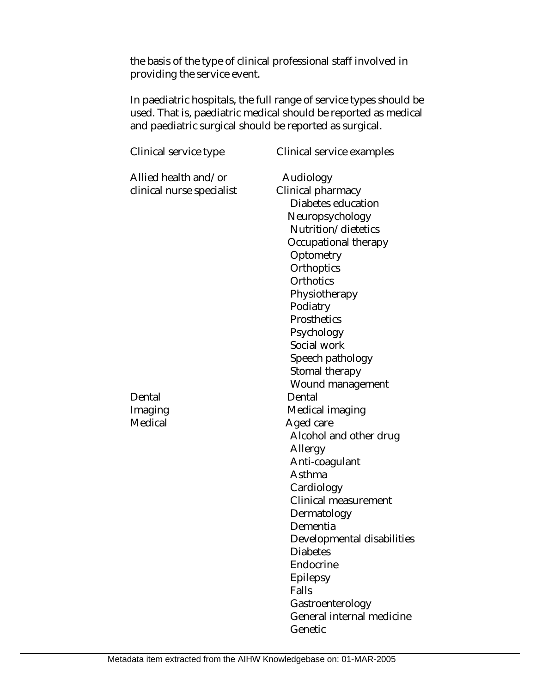the basis of the type of clinical professional staff involved in providing the service event.

In paediatric hospitals, the full range of service types should be used. That is, paediatric medical should be reported as medical and paediatric surgical should be reported as surgical.

| Clinical service type                             | Clinical service examples                                                                                                                                                                                                                                                                                                      |
|---------------------------------------------------|--------------------------------------------------------------------------------------------------------------------------------------------------------------------------------------------------------------------------------------------------------------------------------------------------------------------------------|
| Allied health and/or<br>clinical nurse specialist | Audiology<br>Clinical pharmacy<br>Diabetes education<br>Neuropsychology<br>Nutrition/dietetics<br>Occupational therapy<br>Optometry<br>Orthoptics<br>Orthotics<br>Physiotherapy<br>Podiatry<br>Prosthetics<br>Psychology<br>Social work<br>Speech pathology<br>Stomal therapy<br>Wound management                              |
| Dental<br>Imaging<br>Medical                      | Dental<br>Medical imaging<br>Aged care<br>Alcohol and other drug<br>Allergy<br>Anti-coagulant<br>Asthma<br>Cardiology<br><b>Clinical measurement</b><br>Dermatology<br>Dementia<br>Developmental disabilities<br><b>Diabetes</b><br>Endocrine<br>Epilepsy<br>Falls<br>Gastroenterology<br>General internal medicine<br>Genetic |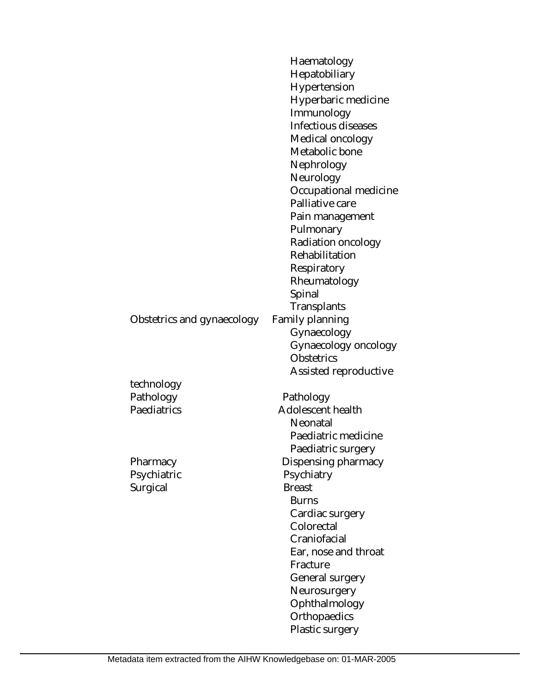|                            | Haematology           |
|----------------------------|-----------------------|
|                            | Hepatobiliary         |
|                            | Hypertension          |
|                            | Hyperbaric medicine   |
|                            | Immunology            |
|                            | Infectious diseases   |
|                            | Medical oncology      |
|                            | Metabolic bone        |
|                            | Nephrology            |
|                            | Neurology             |
|                            | Occupational medicine |
|                            | Palliative care       |
|                            | Pain management       |
|                            | Pulmonary             |
|                            | Radiation oncology    |
|                            | Rehabilitation        |
|                            | Respiratory           |
|                            | Rheumatology          |
|                            | Spinal                |
|                            | Transplants           |
| Obstetrics and gynaecology | Family planning       |
|                            | Gynaecology           |
|                            | Gynaecology oncology  |
|                            | Obstetrics            |
|                            | Assisted reproductive |
| technology                 |                       |
| Pathology                  | Pathology             |
| Paediatrics                | Adolescent health     |
|                            | Neonatal              |
|                            | Paediatric medicine   |
|                            | Paediatric surgery    |
| Pharmacy                   | Dispensing pharmacy   |
| Psychiatric                | Psychiatry            |
| Surgical                   | <b>Breast</b>         |
|                            | <b>Burns</b>          |
|                            | Cardiac surgery       |
|                            | Colorectal            |
|                            | Craniofacial          |
|                            | Ear, nose and throat  |
|                            | Fracture              |
|                            | General surgery       |
|                            | Neurosurgery          |
|                            | Ophthalmology         |
|                            | Orthopaedics          |
|                            | Plastic surgery       |